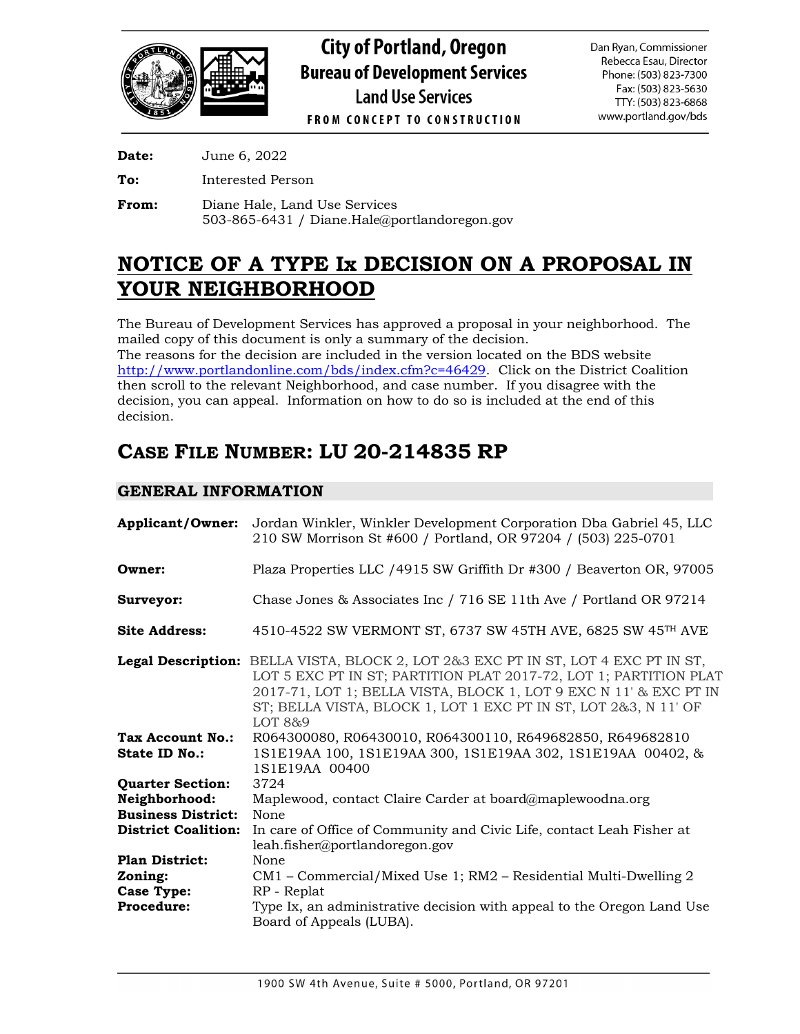

**Date:** June 6, 2022

**To:** Interested Person

**From:** Diane Hale, Land Use Services 503-865-6431 / Diane.Hale@portlandoregon.gov

# **NOTICE OF A TYPE Ix DECISION ON A PROPOSAL IN YOUR NEIGHBORHOOD**

The Bureau of Development Services has approved a proposal in your neighborhood. The mailed copy of this document is only a summary of the decision. The reasons for the decision are included in the version located on the BDS website

[http://www.portlandonline.com/bds/index.cfm?c=46429.](http://www.portlandonline.com/bds/index.cfm?c=46429) Click on the District Coalition then scroll to the relevant Neighborhood, and case number. If you disagree with the decision, you can appeal. Information on how to do so is included at the end of this decision.

# **CASE FILE NUMBER: LU 20-214835 RP**

# **GENERAL INFORMATION**

| <b>Applicant/Owner:</b>    | Jordan Winkler, Winkler Development Corporation Dba Gabriel 45, LLC<br>210 SW Morrison St #600 / Portland, OR 97204 / (503) 225-0701                                                                                                                                                                              |
|----------------------------|-------------------------------------------------------------------------------------------------------------------------------------------------------------------------------------------------------------------------------------------------------------------------------------------------------------------|
| Owner:                     | Plaza Properties LLC /4915 SW Griffith Dr #300 / Beaverton OR, 97005                                                                                                                                                                                                                                              |
| Surveyor:                  | Chase Jones & Associates Inc / 716 SE 11th Ave / Portland OR 97214                                                                                                                                                                                                                                                |
| <b>Site Address:</b>       | 4510-4522 SW VERMONT ST, 6737 SW 45TH AVE, 6825 SW 45TH AVE                                                                                                                                                                                                                                                       |
|                            | <b>Legal Description:</b> BELLA VISTA, BLOCK 2, LOT 2&3 EXC PT IN ST, LOT 4 EXC PT IN ST,<br>LOT 5 EXC PT IN ST; PARTITION PLAT 2017-72, LOT 1; PARTITION PLAT<br>2017-71, LOT 1; BELLA VISTA, BLOCK 1, LOT 9 EXC N 11' & EXC PT IN<br>ST; BELLA VISTA, BLOCK 1, LOT 1 EXC PT IN ST, LOT 2&3, N 11' OF<br>LOT 8&9 |
| Tax Account No.:           | R064300080, R06430010, R064300110, R649682850, R649682810                                                                                                                                                                                                                                                         |
| <b>State ID No.:</b>       | 1S1E19AA 100, 1S1E19AA 300, 1S1E19AA 302, 1S1E19AA 00402, &<br>1S1E19AA 00400                                                                                                                                                                                                                                     |
| <b>Quarter Section:</b>    | 3724                                                                                                                                                                                                                                                                                                              |
| Neighborhood:              | Maplewood, contact Claire Carder at board@maplewoodna.org                                                                                                                                                                                                                                                         |
| <b>Business District:</b>  | None                                                                                                                                                                                                                                                                                                              |
| <b>District Coalition:</b> | In care of Office of Community and Civic Life, contact Leah Fisher at<br>leah.fisher@portlandoregon.gov                                                                                                                                                                                                           |
| <b>Plan District:</b>      | None                                                                                                                                                                                                                                                                                                              |
| Zoning:                    | CM1 - Commercial/Mixed Use 1; RM2 - Residential Multi-Dwelling 2                                                                                                                                                                                                                                                  |
| <b>Case Type:</b>          | RP - Replat                                                                                                                                                                                                                                                                                                       |
| <b>Procedure:</b>          | Type Ix, an administrative decision with appeal to the Oregon Land Use<br>Board of Appeals (LUBA).                                                                                                                                                                                                                |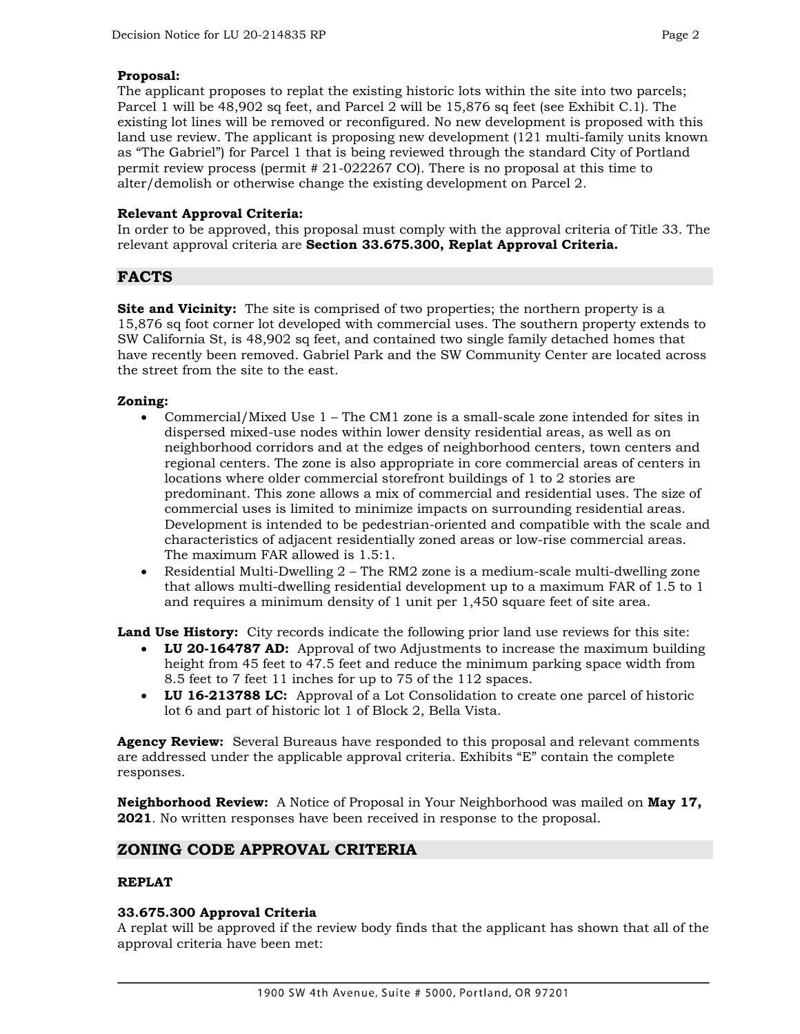#### **Proposal:**

The applicant proposes to replat the existing historic lots within the site into two parcels; Parcel 1 will be 48,902 sq feet, and Parcel 2 will be 15,876 sq feet (see Exhibit C.1). The existing lot lines will be removed or reconfigured. No new development is proposed with this land use review. The applicant is proposing new development (121 multi-family units known as "The Gabriel") for Parcel 1 that is being reviewed through the standard City of Portland permit review process (permit # 21-022267 CO). There is no proposal at this time to alter/demolish or otherwise change the existing development on Parcel 2.

#### **Relevant Approval Criteria:**

In order to be approved, this proposal must comply with the approval criteria of Title 33. The relevant approval criteria are **Section 33.675.300, Replat Approval Criteria.** 

## **FACTS**

**Site and Vicinity:** The site is comprised of two properties; the northern property is a 15,876 sq foot corner lot developed with commercial uses. The southern property extends to SW California St, is 48,902 sq feet, and contained two single family detached homes that have recently been removed. Gabriel Park and the SW Community Center are located across the street from the site to the east.

#### **Zoning:**

- Commercial/Mixed Use 1 The CM1 zone is a small-scale zone intended for sites in dispersed mixed-use nodes within lower density residential areas, as well as on neighborhood corridors and at the edges of neighborhood centers, town centers and regional centers. The zone is also appropriate in core commercial areas of centers in locations where older commercial storefront buildings of 1 to 2 stories are predominant. This zone allows a mix of commercial and residential uses. The size of commercial uses is limited to minimize impacts on surrounding residential areas. Development is intended to be pedestrian-oriented and compatible with the scale and characteristics of adjacent residentially zoned areas or low-rise commercial areas. The maximum FAR allowed is 1.5:1.
- Residential Multi-Dwelling 2 The RM2 zone is a medium-scale multi-dwelling zone that allows multi-dwelling residential development up to a maximum FAR of 1.5 to 1 and requires a minimum density of 1 unit per 1,450 square feet of site area.

Land Use History: City records indicate the following prior land use reviews for this site:

- **LU 20-164787 AD:** Approval of two Adjustments to increase the maximum building height from 45 feet to 47.5 feet and reduce the minimum parking space width from 8.5 feet to 7 feet 11 inches for up to 75 of the 112 spaces.
- **LU 16-213788 LC:** Approval of a Lot Consolidation to create one parcel of historic lot 6 and part of historic lot 1 of Block 2, Bella Vista.

**Agency Review:** Several Bureaus have responded to this proposal and relevant comments are addressed under the applicable approval criteria. Exhibits "E" contain the complete responses.

**Neighborhood Review:** A Notice of Proposal in Your Neighborhood was mailed on **May 17, 2021**. No written responses have been received in response to the proposal.

## **ZONING CODE APPROVAL CRITERIA**

#### **REPLAT**

#### **33.675.300 Approval Criteria**

A replat will be approved if the review body finds that the applicant has shown that all of the approval criteria have been met: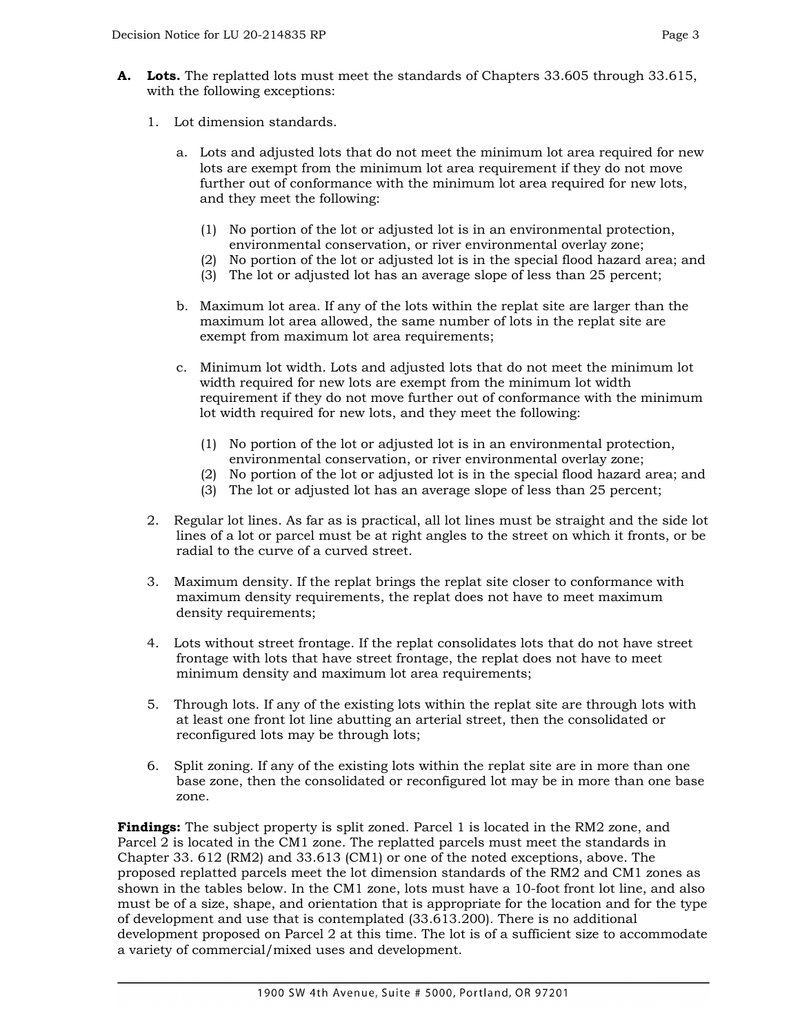- **A. Lots.** The replatted lots must meet the standards of Chapters 33.605 through 33.615, with the following exceptions:
	- 1. Lot dimension standards.
		- a. Lots and adjusted lots that do not meet the minimum lot area required for new lots are exempt from the minimum lot area requirement if they do not move further out of conformance with the minimum lot area required for new lots, and they meet the following:
			- (1) No portion of the lot or adjusted lot is in an environmental protection, environmental conservation, or river environmental overlay zone;
			- (2) No portion of the lot or adjusted lot is in the special flood hazard area; and
			- (3) The lot or adjusted lot has an average slope of less than 25 percent;
		- b. Maximum lot area. If any of the lots within the replat site are larger than the maximum lot area allowed, the same number of lots in the replat site are exempt from maximum lot area requirements;
		- c. Minimum lot width. Lots and adjusted lots that do not meet the minimum lot width required for new lots are exempt from the minimum lot width requirement if they do not move further out of conformance with the minimum lot width required for new lots, and they meet the following:
			- (1) No portion of the lot or adjusted lot is in an environmental protection, environmental conservation, or river environmental overlay zone;
			- (2) No portion of the lot or adjusted lot is in the special flood hazard area; and
			- (3) The lot or adjusted lot has an average slope of less than 25 percent;
	- 2. Regular lot lines. As far as is practical, all lot lines must be straight and the side lot lines of a lot or parcel must be at right angles to the street on which it fronts, or be radial to the curve of a curved street.
	- 3. Maximum density. If the replat brings the replat site closer to conformance with maximum density requirements, the replat does not have to meet maximum density requirements;
	- 4. Lots without street frontage. If the replat consolidates lots that do not have street frontage with lots that have street frontage, the replat does not have to meet minimum density and maximum lot area requirements;
	- 5. Through lots. If any of the existing lots within the replat site are through lots with at least one front lot line abutting an arterial street, then the consolidated or reconfigured lots may be through lots;
	- 6. Split zoning. If any of the existing lots within the replat site are in more than one base zone, then the consolidated or reconfigured lot may be in more than one base zone.

**Findings:** The subject property is split zoned. Parcel 1 is located in the RM2 zone, and Parcel 2 is located in the CM1 zone. The replatted parcels must meet the standards in Chapter 33. 612 (RM2) and 33.613 (CM1) or one of the noted exceptions, above. The proposed replatted parcels meet the lot dimension standards of the RM2 and CM1 zones as shown in the tables below. In the CM1 zone, lots must have a 10-foot front lot line, and also must be of a size, shape, and orientation that is appropriate for the location and for the type of development and use that is contemplated (33.613.200). There is no additional development proposed on Parcel 2 at this time. The lot is of a sufficient size to accommodate a variety of commercial/mixed uses and development.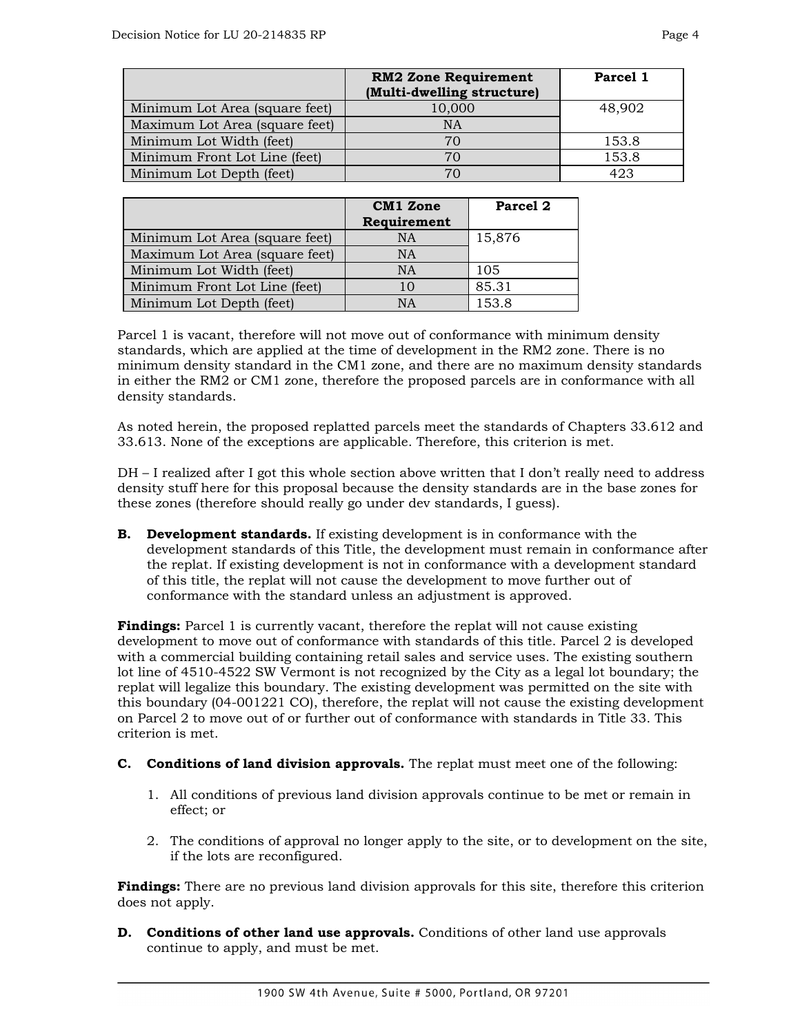|                                | <b>RM2 Zone Requirement</b> | Parcel 1 |
|--------------------------------|-----------------------------|----------|
|                                | (Multi-dwelling structure)  |          |
| Minimum Lot Area (square feet) | 10,000                      | 48,902   |
| Maximum Lot Area (square feet) | <b>NA</b>                   |          |
| Minimum Lot Width (feet)       | 70                          | 153.8    |
| Minimum Front Lot Line (feet)  | 70                          | 153.8    |
| Minimum Lot Depth (feet)       | 70                          | 423      |

|                                | <b>CM1</b> Zone<br>Requirement | Parcel 2 |
|--------------------------------|--------------------------------|----------|
| Minimum Lot Area (square feet) | <b>NA</b>                      | 15,876   |
| Maximum Lot Area (square feet) | <b>NA</b>                      |          |
| Minimum Lot Width (feet)       | <b>NA</b>                      | 105      |
| Minimum Front Lot Line (feet)  | 10                             | 85.31    |
| Minimum Lot Depth (feet)       | <b>NA</b>                      | 153.8    |

Parcel 1 is vacant, therefore will not move out of conformance with minimum density standards, which are applied at the time of development in the RM2 zone. There is no minimum density standard in the CM1 zone, and there are no maximum density standards in either the RM2 or CM1 zone, therefore the proposed parcels are in conformance with all density standards.

As noted herein, the proposed replatted parcels meet the standards of Chapters 33.612 and 33.613. None of the exceptions are applicable. Therefore, this criterion is met.

DH – I realized after I got this whole section above written that I don't really need to address density stuff here for this proposal because the density standards are in the base zones for these zones (therefore should really go under dev standards, I guess).

**B. Development standards.** If existing development is in conformance with the development standards of this Title, the development must remain in conformance after the replat. If existing development is not in conformance with a development standard of this title, the replat will not cause the development to move further out of conformance with the standard unless an adjustment is approved.

**Findings:** Parcel 1 is currently vacant, therefore the replat will not cause existing development to move out of conformance with standards of this title. Parcel 2 is developed with a commercial building containing retail sales and service uses. The existing southern lot line of 4510-4522 SW Vermont is not recognized by the City as a legal lot boundary; the replat will legalize this boundary. The existing development was permitted on the site with this boundary (04-001221 CO), therefore, the replat will not cause the existing development on Parcel 2 to move out of or further out of conformance with standards in Title 33. This criterion is met.

#### **C. Conditions of land division approvals.** The replat must meet one of the following:

- 1. All conditions of previous land division approvals continue to be met or remain in effect; or
- 2. The conditions of approval no longer apply to the site, or to development on the site, if the lots are reconfigured.

**Findings:** There are no previous land division approvals for this site, therefore this criterion does not apply.

**D. Conditions of other land use approvals.** Conditions of other land use approvals continue to apply, and must be met.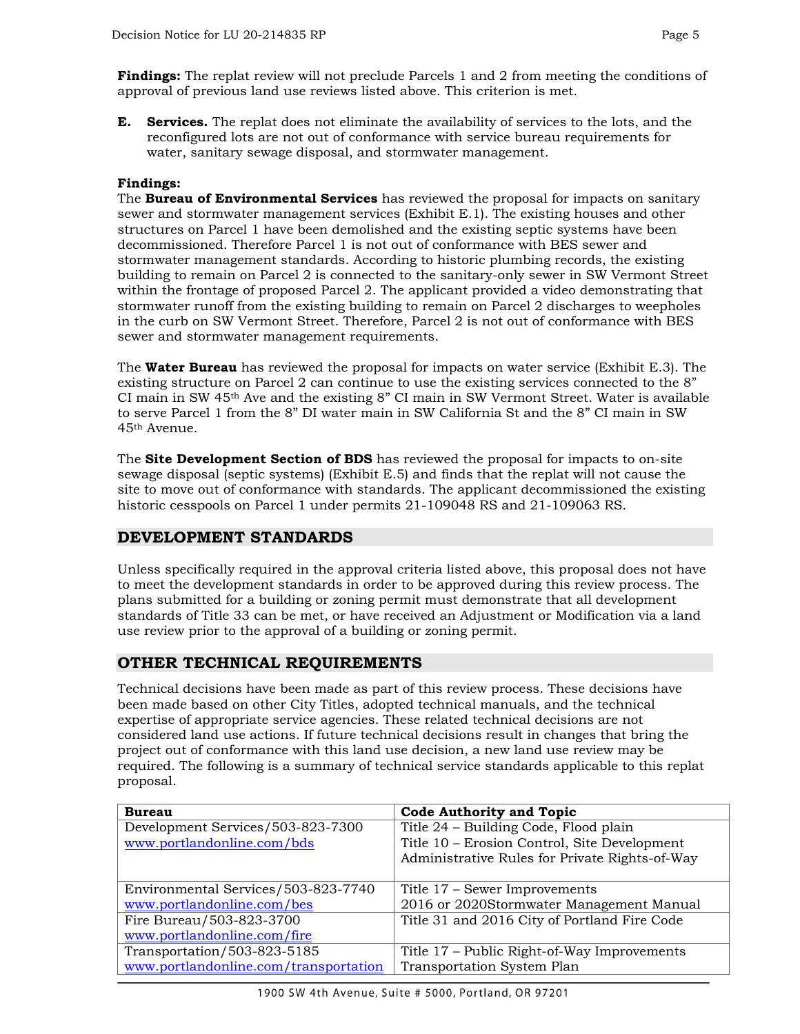**E. Services.** The replat does not eliminate the availability of services to the lots, and the reconfigured lots are not out of conformance with service bureau requirements for water, sanitary sewage disposal, and stormwater management.

#### **Findings:**

The **Bureau of Environmental Services** has reviewed the proposal for impacts on sanitary sewer and stormwater management services (Exhibit E.1). The existing houses and other structures on Parcel 1 have been demolished and the existing septic systems have been decommissioned. Therefore Parcel 1 is not out of conformance with BES sewer and stormwater management standards. According to historic plumbing records, the existing building to remain on Parcel 2 is connected to the sanitary-only sewer in SW Vermont Street within the frontage of proposed Parcel 2. The applicant provided a video demonstrating that stormwater runoff from the existing building to remain on Parcel 2 discharges to weepholes in the curb on SW Vermont Street. Therefore, Parcel 2 is not out of conformance with BES sewer and stormwater management requirements.

The **Water Bureau** has reviewed the proposal for impacts on water service (Exhibit E.3). The existing structure on Parcel 2 can continue to use the existing services connected to the 8" CI main in SW  $45<sup>th</sup>$  Ave and the existing 8" CI main in SW Vermont Street. Water is available to serve Parcel 1 from the 8" DI water main in SW California St and the 8" CI main in SW 45th Avenue.

The **Site Development Section of BDS** has reviewed the proposal for impacts to on-site sewage disposal (septic systems) (Exhibit E.5) and finds that the replat will not cause the site to move out of conformance with standards. The applicant decommissioned the existing historic cesspools on Parcel 1 under permits 21-109048 RS and 21-109063 RS.

## **DEVELOPMENT STANDARDS**

Unless specifically required in the approval criteria listed above, this proposal does not have to meet the development standards in order to be approved during this review process. The plans submitted for a building or zoning permit must demonstrate that all development standards of Title 33 can be met, or have received an Adjustment or Modification via a land use review prior to the approval of a building or zoning permit.

## **OTHER TECHNICAL REQUIREMENTS**

Technical decisions have been made as part of this review process. These decisions have been made based on other City Titles, adopted technical manuals, and the technical expertise of appropriate service agencies. These related technical decisions are not considered land use actions. If future technical decisions result in changes that bring the project out of conformance with this land use decision, a new land use review may be required. The following is a summary of technical service standards applicable to this replat proposal.

| <b>Bureau</b>                         | <b>Code Authority and Topic</b>                |  |  |
|---------------------------------------|------------------------------------------------|--|--|
| Development Services/503-823-7300     | Title 24 - Building Code, Flood plain          |  |  |
| www.portlandonline.com/bds            | Title 10 - Erosion Control, Site Development   |  |  |
|                                       | Administrative Rules for Private Rights-of-Way |  |  |
| Environmental Services/503-823-7740   | Title 17 – Sewer Improvements                  |  |  |
| www.portlandonline.com/bes            | 2016 or 2020Stormwater Management Manual       |  |  |
| Fire Bureau/503-823-3700              | Title 31 and 2016 City of Portland Fire Code   |  |  |
| www.portlandonline.com/fire           |                                                |  |  |
| Transportation/503-823-5185           | Title 17 – Public Right-of-Way Improvements    |  |  |
| www.portlandonline.com/transportation | Transportation System Plan                     |  |  |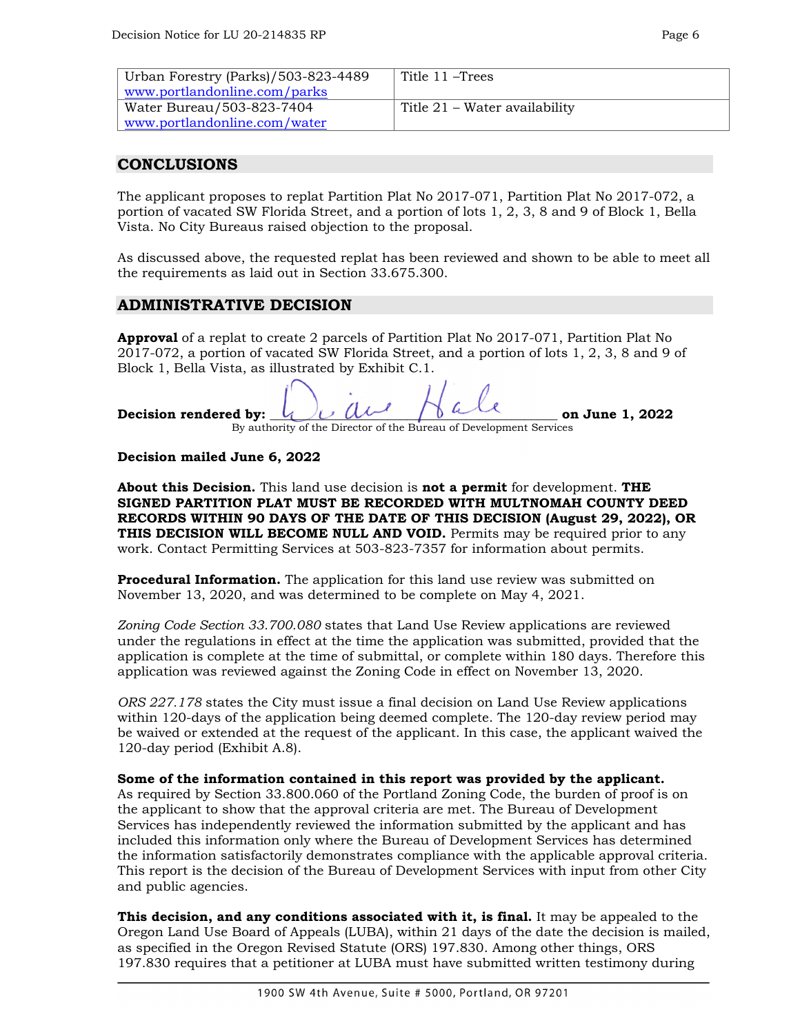| Urban Forestry (Parks)/503-823-4489 | Title 11-Trees                |
|-------------------------------------|-------------------------------|
| www.portlandonline.com/parks        |                               |
| Water Bureau/503-823-7404           | Title 21 – Water availability |
| www.portlandonline.com/water        |                               |

#### **CONCLUSIONS**

The applicant proposes to replat Partition Plat No 2017-071, Partition Plat No 2017-072, a portion of vacated SW Florida Street, and a portion of lots 1, 2, 3, 8 and 9 of Block 1, Bella Vista. No City Bureaus raised objection to the proposal.

As discussed above, the requested replat has been reviewed and shown to be able to meet all the requirements as laid out in Section 33.675.300.

#### **ADMINISTRATIVE DECISION**

**Approval** of a replat to create 2 parcels of Partition Plat No 2017-071, Partition Plat No 2017-072, a portion of vacated SW Florida Street, and a portion of lots 1, 2, 3, 8 and 9 of Block 1, Bella Vista, as illustrated by Exhibit C.1.

| Decision rendered by: $\mathcal{U}$ |                                                                    | on June 1, 2022 |
|-------------------------------------|--------------------------------------------------------------------|-----------------|
|                                     | By authority of the Director of the Bureau of Development Services |                 |

#### **Decision mailed June 6, 2022**

**About this Decision.** This land use decision is **not a permit** for development. **THE SIGNED PARTITION PLAT MUST BE RECORDED WITH MULTNOMAH COUNTY DEED RECORDS WITHIN 90 DAYS OF THE DATE OF THIS DECISION (August 29, 2022), OR THIS DECISION WILL BECOME NULL AND VOID.** Permits may be required prior to any work. Contact Permitting Services at 503-823-7357 for information about permits.

**Procedural Information.** The application for this land use review was submitted on November 13, 2020, and was determined to be complete on May 4, 2021.

*Zoning Code Section 33.700.080* states that Land Use Review applications are reviewed under the regulations in effect at the time the application was submitted, provided that the application is complete at the time of submittal, or complete within 180 days. Therefore this application was reviewed against the Zoning Code in effect on November 13, 2020.

*ORS 227.178* states the City must issue a final decision on Land Use Review applications within 120-days of the application being deemed complete. The 120-day review period may be waived or extended at the request of the applicant. In this case, the applicant waived the 120-day period (Exhibit A.8).

#### **Some of the information contained in this report was provided by the applicant.**

As required by Section 33.800.060 of the Portland Zoning Code, the burden of proof is on the applicant to show that the approval criteria are met. The Bureau of Development Services has independently reviewed the information submitted by the applicant and has included this information only where the Bureau of Development Services has determined the information satisfactorily demonstrates compliance with the applicable approval criteria. This report is the decision of the Bureau of Development Services with input from other City and public agencies.

**This decision, and any conditions associated with it, is final.** It may be appealed to the Oregon Land Use Board of Appeals (LUBA), within 21 days of the date the decision is mailed, as specified in the Oregon Revised Statute (ORS) 197.830. Among other things, ORS 197.830 requires that a petitioner at LUBA must have submitted written testimony during